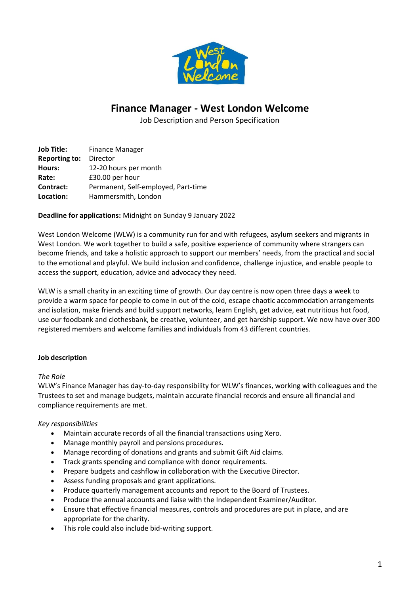

# **Finance Manager - West London Welcome**

Job Description and Person Specification

| <b>Job Title:</b>    | <b>Finance Manager</b>              |
|----------------------|-------------------------------------|
| <b>Reporting to:</b> | Director                            |
| Hours:               | 12-20 hours per month               |
| Rate:                | £30.00 per hour                     |
| Contract:            | Permanent, Self-employed, Part-time |
| Location:            | Hammersmith, London                 |

## **Deadline for applications:** Midnight on Sunday 9 January 2022

West London Welcome (WLW) is a community run for and with refugees, asylum seekers and migrants in West London. We work together to build a safe, positive experience of community where strangers can become friends, and take a holistic approach to support our members' needs, from the practical and social to the emotional and playful. We build inclusion and confidence, challenge injustice, and enable people to access the support, education, advice and advocacy they need.

WLW is a small charity in an exciting time of growth. Our day centre is now open three days a week to provide a warm space for people to come in out of the cold, escape chaotic accommodation arrangements and isolation, make friends and build support networks, learn English, get advice, eat nutritious hot food, use our foodbank and clothesbank, be creative, volunteer, and get hardship support. We now have over 300 registered members and welcome families and individuals from 43 different countries.

## **Job description**

## *The Role*

WLW's Finance Manager has day-to-day responsibility for WLW's finances, working with colleagues and the Trustees to set and manage budgets, maintain accurate financial records and ensure all financial and compliance requirements are met.

## *Key responsibilities*

- Maintain accurate records of all the financial transactions using Xero.
- Manage monthly payroll and pensions procedures.
- Manage recording of donations and grants and submit Gift Aid claims.
- Track grants spending and compliance with donor requirements.
- Prepare budgets and cashflow in collaboration with the Executive Director.
- Assess funding proposals and grant applications.
- Produce quarterly management accounts and report to the Board of Trustees.
- Produce the annual accounts and liaise with the Independent Examiner/Auditor.
- Ensure that effective financial measures, controls and procedures are put in place, and are appropriate for the charity.
- This role could also include bid-writing support.